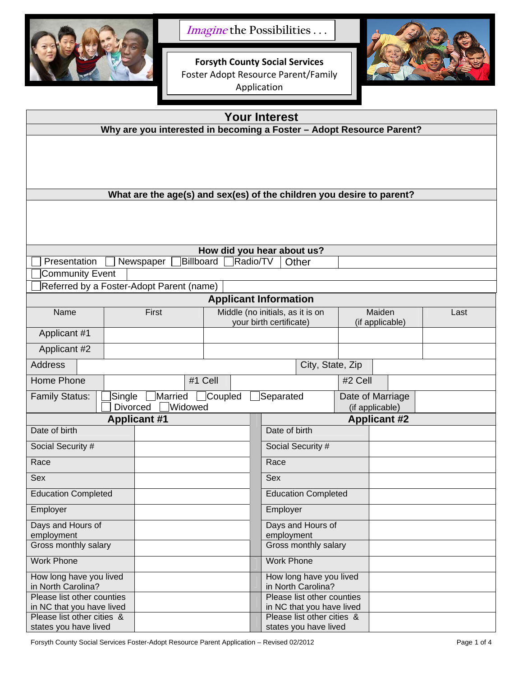

**Imagine the Possibilities . . .**

**Forsyth County Social Services**  Foster Adopt Resource Parent/Family Application



| <b>Your Interest</b>                                                     |  |                                                                                                                |  |                                               |                                    |                                                             |  |                                                     |                           |         |      |  |
|--------------------------------------------------------------------------|--|----------------------------------------------------------------------------------------------------------------|--|-----------------------------------------------|------------------------------------|-------------------------------------------------------------|--|-----------------------------------------------------|---------------------------|---------|------|--|
| Why are you interested in becoming a Foster - Adopt Resource Parent?     |  |                                                                                                                |  |                                               |                                    |                                                             |  |                                                     |                           |         |      |  |
|                                                                          |  |                                                                                                                |  |                                               |                                    |                                                             |  |                                                     |                           |         |      |  |
| What are the age(s) and sex(es) of the children you desire to parent?    |  |                                                                                                                |  |                                               |                                    |                                                             |  |                                                     |                           |         |      |  |
| How did you hear about us?                                               |  |                                                                                                                |  |                                               |                                    |                                                             |  |                                                     |                           |         |      |  |
| Presentation                                                             |  | Newspaper                                                                                                      |  | Billboard                                     |                                    | Radio/TV                                                    |  | Other                                               |                           |         |      |  |
| <b>Community Event</b>                                                   |  |                                                                                                                |  |                                               |                                    |                                                             |  |                                                     |                           |         |      |  |
|                                                                          |  |                                                                                                                |  |                                               |                                    |                                                             |  |                                                     |                           |         |      |  |
| Referred by a Foster-Adopt Parent (name)<br><b>Applicant Information</b> |  |                                                                                                                |  |                                               |                                    |                                                             |  |                                                     |                           |         |      |  |
| Name                                                                     |  | First                                                                                                          |  |                                               |                                    | Middle (no initials, as it is on<br>your birth certificate) |  |                                                     | Maiden<br>(if applicable) |         | Last |  |
| Applicant #1                                                             |  |                                                                                                                |  |                                               |                                    |                                                             |  |                                                     |                           |         |      |  |
| Applicant #2                                                             |  |                                                                                                                |  |                                               |                                    |                                                             |  |                                                     |                           |         |      |  |
| <b>Address</b>                                                           |  |                                                                                                                |  |                                               |                                    |                                                             |  |                                                     | City, State, Zip          |         |      |  |
| Home Phone                                                               |  |                                                                                                                |  | #1 Cell                                       |                                    |                                                             |  |                                                     |                           | #2 Cell |      |  |
| <b>Family Status:</b>                                                    |  | Coupled<br>Single<br>Married<br>Separated<br>Date of Marriage<br><b>Widowed</b><br>Divorced<br>(if applicable) |  |                                               |                                    |                                                             |  |                                                     |                           |         |      |  |
| <b>Applicant #1</b>                                                      |  |                                                                                                                |  |                                               |                                    | <b>Applicant #2</b>                                         |  |                                                     |                           |         |      |  |
| Date of birth                                                            |  |                                                                                                                |  | Date of birth                                 |                                    |                                                             |  |                                                     |                           |         |      |  |
| Social Security #                                                        |  |                                                                                                                |  |                                               | Social Security #                  |                                                             |  |                                                     |                           |         |      |  |
| Race                                                                     |  |                                                                                                                |  |                                               | Race                               |                                                             |  |                                                     |                           |         |      |  |
| Sex                                                                      |  |                                                                                                                |  | Sex                                           |                                    |                                                             |  |                                                     |                           |         |      |  |
| <b>Education Completed</b>                                               |  |                                                                                                                |  | <b>Education Completed</b>                    |                                    |                                                             |  |                                                     |                           |         |      |  |
| Employer                                                                 |  |                                                                                                                |  | Employer                                      |                                    |                                                             |  |                                                     |                           |         |      |  |
| Days and Hours of                                                        |  |                                                                                                                |  | Days and Hours of                             |                                    |                                                             |  |                                                     |                           |         |      |  |
| employment<br>Gross monthly salary                                       |  |                                                                                                                |  |                                               | employment<br>Gross monthly salary |                                                             |  |                                                     |                           |         |      |  |
| <b>Work Phone</b>                                                        |  |                                                                                                                |  | <b>Work Phone</b>                             |                                    |                                                             |  |                                                     |                           |         |      |  |
| How long have you lived                                                  |  |                                                                                                                |  | How long have you lived<br>in North Carolina? |                                    |                                                             |  |                                                     |                           |         |      |  |
| in North Carolina?<br>Please list other counties                         |  |                                                                                                                |  | Please list other counties                    |                                    |                                                             |  |                                                     |                           |         |      |  |
| in NC that you have lived                                                |  |                                                                                                                |  |                                               | in NC that you have lived          |                                                             |  |                                                     |                           |         |      |  |
| Please list other cities &<br>states you have lived                      |  |                                                                                                                |  |                                               |                                    |                                                             |  | Please list other cities &<br>states you have lived |                           |         |      |  |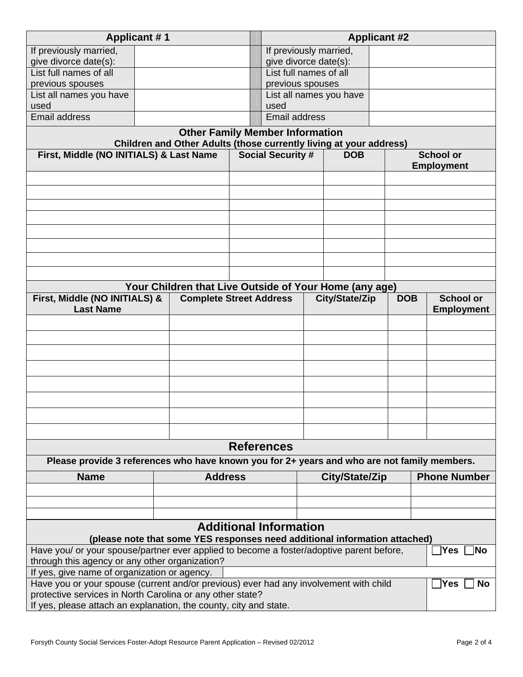| <b>Applicant #1</b>                                                                                                                                |                                                        | <b>Applicant #2</b>      |                   |                         |                        |                                       |                  |                     |  |
|----------------------------------------------------------------------------------------------------------------------------------------------------|--------------------------------------------------------|--------------------------|-------------------|-------------------------|------------------------|---------------------------------------|------------------|---------------------|--|
| If previously married,                                                                                                                             |                                                        |                          |                   |                         | If previously married, |                                       |                  |                     |  |
| give divorce date(s):                                                                                                                              |                                                        |                          |                   | give divorce date(s):   |                        |                                       |                  |                     |  |
| List full names of all                                                                                                                             |                                                        |                          |                   | List full names of all  |                        |                                       |                  |                     |  |
| previous spouses                                                                                                                                   |                                                        |                          |                   | previous spouses        |                        |                                       |                  |                     |  |
|                                                                                                                                                    | List all names you have                                |                          |                   | List all names you have |                        |                                       |                  |                     |  |
| used<br>Email address                                                                                                                              |                                                        |                          |                   | used<br>Email address   |                        |                                       |                  |                     |  |
|                                                                                                                                                    |                                                        |                          |                   |                         |                        |                                       |                  |                     |  |
| <b>Other Family Member Information</b><br>Children and Other Adults (those currently living at your address)                                       |                                                        |                          |                   |                         |                        |                                       |                  |                     |  |
| First, Middle (NO INITIALS) & Last Name                                                                                                            |                                                        | <b>Social Security #</b> |                   | <b>DOB</b>              |                        | <b>School or</b><br><b>Employment</b> |                  |                     |  |
|                                                                                                                                                    |                                                        |                          |                   |                         |                        |                                       |                  |                     |  |
|                                                                                                                                                    |                                                        |                          |                   |                         |                        |                                       |                  |                     |  |
|                                                                                                                                                    |                                                        |                          |                   |                         |                        |                                       |                  |                     |  |
|                                                                                                                                                    |                                                        |                          |                   |                         |                        |                                       |                  |                     |  |
|                                                                                                                                                    |                                                        |                          |                   |                         |                        |                                       |                  |                     |  |
|                                                                                                                                                    |                                                        |                          |                   |                         |                        |                                       |                  |                     |  |
|                                                                                                                                                    |                                                        |                          |                   |                         |                        |                                       |                  |                     |  |
|                                                                                                                                                    |                                                        |                          |                   |                         |                        |                                       |                  |                     |  |
|                                                                                                                                                    | Your Children that Live Outside of Your Home (any age) |                          |                   |                         |                        |                                       |                  |                     |  |
| First, Middle (NO INITIALS) &                                                                                                                      | <b>Complete Street Address</b>                         |                          |                   |                         | City/State/Zip         |                                       | <b>DOB</b>       | <b>School or</b>    |  |
| <b>Last Name</b>                                                                                                                                   |                                                        |                          |                   |                         |                        |                                       |                  | <b>Employment</b>   |  |
|                                                                                                                                                    |                                                        |                          |                   |                         |                        |                                       |                  |                     |  |
|                                                                                                                                                    |                                                        |                          |                   |                         |                        |                                       |                  |                     |  |
|                                                                                                                                                    |                                                        |                          |                   |                         |                        |                                       |                  |                     |  |
|                                                                                                                                                    |                                                        |                          |                   |                         |                        |                                       |                  |                     |  |
|                                                                                                                                                    |                                                        |                          |                   |                         |                        |                                       |                  |                     |  |
|                                                                                                                                                    |                                                        |                          |                   |                         |                        |                                       |                  |                     |  |
|                                                                                                                                                    |                                                        |                          |                   |                         |                        |                                       |                  |                     |  |
|                                                                                                                                                    |                                                        |                          |                   |                         |                        |                                       |                  |                     |  |
|                                                                                                                                                    |                                                        |                          | <b>References</b> |                         |                        |                                       |                  |                     |  |
| Please provide 3 references who have known you for 2+ years and who are not family members.                                                        |                                                        |                          |                   |                         |                        |                                       |                  |                     |  |
| <b>Name</b>                                                                                                                                        |                                                        | <b>Address</b>           |                   |                         | City/State/Zip         |                                       |                  | <b>Phone Number</b> |  |
|                                                                                                                                                    |                                                        |                          |                   |                         |                        |                                       |                  |                     |  |
|                                                                                                                                                    |                                                        |                          |                   |                         |                        |                                       |                  |                     |  |
|                                                                                                                                                    |                                                        |                          |                   |                         |                        |                                       |                  |                     |  |
| <b>Additional Information</b><br>(please note that some YES responses need additional information attached)                                        |                                                        |                          |                   |                         |                        |                                       |                  |                     |  |
| Have you/ or your spouse/partner ever applied to become a foster/adoptive parent before,<br>Yes<br>lNo.                                            |                                                        |                          |                   |                         |                        |                                       |                  |                     |  |
| through this agency or any other organization?                                                                                                     |                                                        |                          |                   |                         |                        |                                       |                  |                     |  |
| If yes, give name of organization or agency.                                                                                                       |                                                        |                          |                   |                         |                        |                                       |                  |                     |  |
| Have you or your spouse (current and/or previous) ever had any involvement with child<br>protective services in North Carolina or any other state? |                                                        |                          |                   |                         |                        |                                       | Yes<br><b>No</b> |                     |  |
| If yes, please attach an explanation, the county, city and state.                                                                                  |                                                        |                          |                   |                         |                        |                                       |                  |                     |  |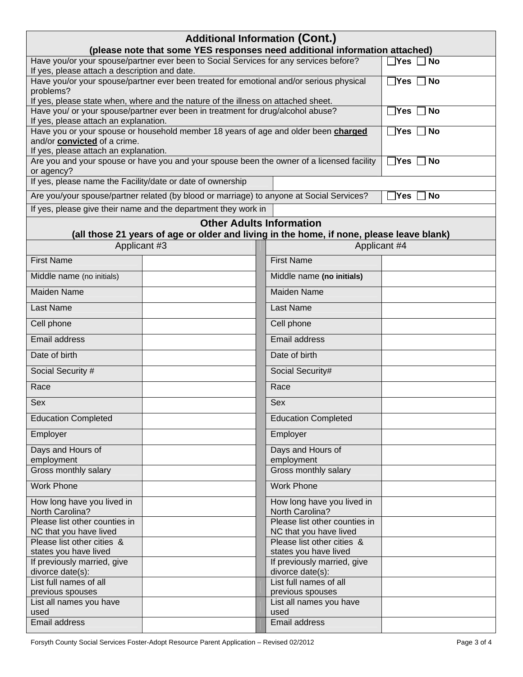| <b>Additional Information (Cont.)</b><br>(please note that some YES responses need additional information attached)                    |                   |                                                      |  |  |  |  |  |
|----------------------------------------------------------------------------------------------------------------------------------------|-------------------|------------------------------------------------------|--|--|--|--|--|
| Have you/or your spouse/partner ever been to Social Services for any services before?<br>If yes, please attach a description and date. | No<br>Yes         |                                                      |  |  |  |  |  |
| Have you/or your spouse/partner ever been treated for emotional and/or serious physical                                                | ∃Yes<br><b>No</b> |                                                      |  |  |  |  |  |
| problems?<br>If yes, please state when, where and the nature of the illness on attached sheet.                                         |                   |                                                      |  |  |  |  |  |
| Have you/ or your spouse/partner ever been in treatment for drug/alcohol abuse?<br>If yes, please attach an explanation.               | ไYes<br><b>No</b> |                                                      |  |  |  |  |  |
| Have you or your spouse or household member 18 years of age and older been charged                                                     | ∃Yes<br><b>No</b> |                                                      |  |  |  |  |  |
| and/or convicted of a crime.<br>If yes, please attach an explanation.                                                                  |                   |                                                      |  |  |  |  |  |
| Are you and your spouse or have you and your spouse been the owner of a licensed facility                                              | ∃Yes<br><b>No</b> |                                                      |  |  |  |  |  |
| or agency?<br>If yes, please name the Facility/date or date of ownership                                                               |                   |                                                      |  |  |  |  |  |
| Are you/your spouse/partner related (by blood or marriage) to anyone at Social Services?                                               | Yes<br>No         |                                                      |  |  |  |  |  |
| If yes, please give their name and the department they work in                                                                         |                   |                                                      |  |  |  |  |  |
| <b>Other Adults Information</b><br>(all those 21 years of age or older and living in the home, if none, please leave blank)            |                   |                                                      |  |  |  |  |  |
| Applicant #3                                                                                                                           | Applicant #4      |                                                      |  |  |  |  |  |
| <b>First Name</b>                                                                                                                      |                   | <b>First Name</b>                                    |  |  |  |  |  |
| Middle name (no initials)                                                                                                              |                   | Middle name (no initials)                            |  |  |  |  |  |
| Maiden Name                                                                                                                            |                   | <b>Maiden Name</b>                                   |  |  |  |  |  |
| Last Name                                                                                                                              |                   | Last Name                                            |  |  |  |  |  |
| Cell phone                                                                                                                             |                   | Cell phone                                           |  |  |  |  |  |
| Email address                                                                                                                          |                   | Email address                                        |  |  |  |  |  |
| Date of birth                                                                                                                          |                   | Date of birth                                        |  |  |  |  |  |
| Social Security #                                                                                                                      |                   | Social Security#                                     |  |  |  |  |  |
| Race                                                                                                                                   |                   | Race                                                 |  |  |  |  |  |
| Sex                                                                                                                                    |                   | Sex                                                  |  |  |  |  |  |
| <b>Education Completed</b>                                                                                                             |                   | <b>Education Completed</b>                           |  |  |  |  |  |
| Employer                                                                                                                               |                   | Employer                                             |  |  |  |  |  |
| Days and Hours of<br>employment                                                                                                        |                   | Days and Hours of<br>employment                      |  |  |  |  |  |
| Gross monthly salary                                                                                                                   |                   | Gross monthly salary                                 |  |  |  |  |  |
| <b>Work Phone</b>                                                                                                                      |                   | <b>Work Phone</b>                                    |  |  |  |  |  |
| How long have you lived in                                                                                                             |                   | How long have you lived in                           |  |  |  |  |  |
| North Carolina?<br>Please list other counties in                                                                                       |                   | North Carolina?<br>Please list other counties in     |  |  |  |  |  |
| NC that you have lived                                                                                                                 |                   | NC that you have lived                               |  |  |  |  |  |
| Please list other cities &                                                                                                             |                   | Please list other cities &                           |  |  |  |  |  |
| states you have lived<br>If previously married, give                                                                                   |                   | states you have lived<br>If previously married, give |  |  |  |  |  |
| divorce date(s):                                                                                                                       |                   | divorce date(s):                                     |  |  |  |  |  |
| List full names of all                                                                                                                 |                   | List full names of all                               |  |  |  |  |  |
| previous spouses<br>List all names you have                                                                                            |                   | previous spouses<br>List all names you have          |  |  |  |  |  |
| used                                                                                                                                   |                   | used                                                 |  |  |  |  |  |
| <b>Email address</b>                                                                                                                   |                   | Email address                                        |  |  |  |  |  |